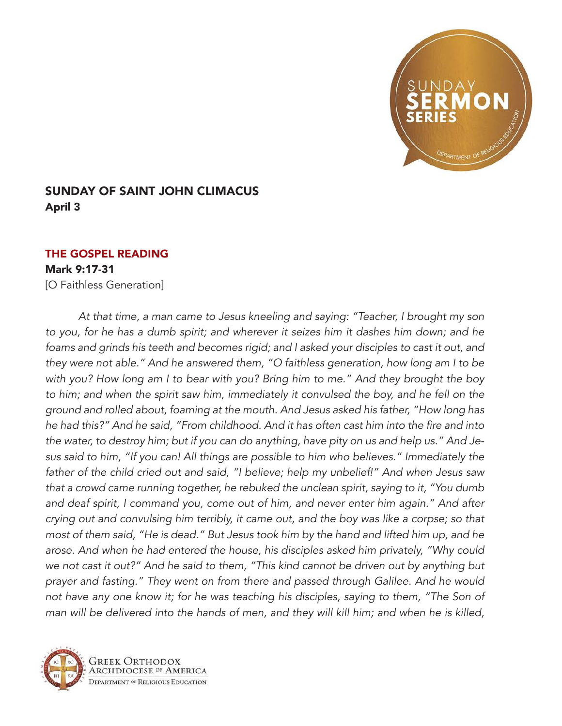

## SUNDAY OF SAINT JOHN CLIMACUS April 3

## THE GOSPEL READING

Mark 9:17-31 [O Faithless Generation]

*At that time, a man came to Jesus kneeling and saying: "Teacher, I brought my son to you, for he has a dumb spirit; and wherever it seizes him it dashes him down; and he foams and grinds his teeth and becomes rigid; and I asked your disciples to cast it out, and they were not able." And he answered them, "O faithless generation, how long am I to be with you? How long am I to bear with you? Bring him to me." And they brought the boy to him; and when the spirit saw him, immediately it convulsed the boy, and he fell on the ground and rolled about, foaming at the mouth. And Jesus asked his father, "How long has*  he had this?" And he said, "From childhood. And it has often cast him into the fire and into *the water, to destroy him; but if you can do anything, have pity on us and help us." And Jesus said to him, "If you can! All things are possible to him who believes." Immediately the father of the child cried out and said, "I believe; help my unbelief!" And when Jesus saw that a crowd came running together, he rebuked the unclean spirit, saying to it, "You dumb and deaf spirit, I command you, come out of him, and never enter him again." And after crying out and convulsing him terribly, it came out, and the boy was like a corpse; so that most of them said, "He is dead." But Jesus took him by the hand and lifted him up, and he arose. And when he had entered the house, his disciples asked him privately, "Why could we not cast it out?" And he said to them, "This kind cannot be driven out by anything but prayer and fasting." They went on from there and passed through Galilee. And he would not have any one know it; for he was teaching his disciples, saying to them, "The Son of man will be delivered into the hands of men, and they will kill him; and when he is killed,* 



Greek Orthodox **ARCHDIOCESE OF AMERICA** DEPARTMENT OF RELIGIOUS EDUCATION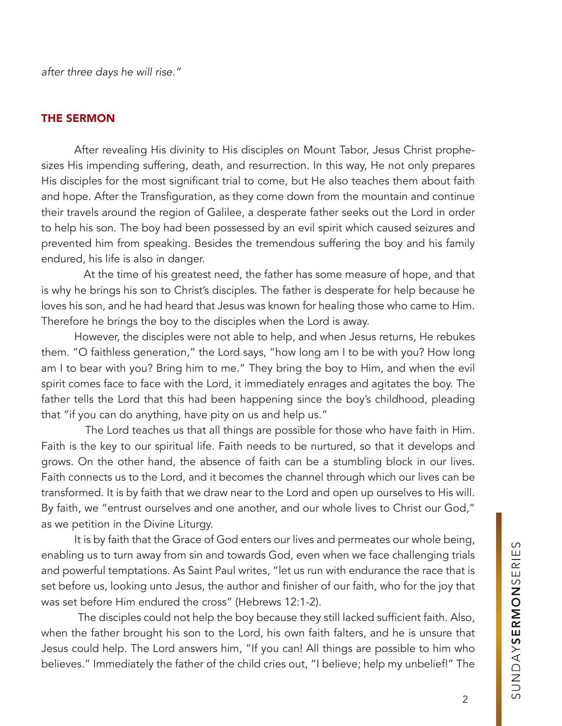*after three days he will rise."*

## THE SERMON

After revealing His divinity to His disciples on Mount Tabor, Jesus Christ prophesizes His impending suffering, death, and resurrection. In this way, He not only prepares His disciples for the most significant trial to come, but He also teaches them about faith and hope. After the Transfiguration, as they come down from the mountain and continue their travels around the region of Galilee, a desperate father seeks out the Lord in order to help his son. The boy had been possessed by an evil spirit which caused seizures and prevented him from speaking. Besides the tremendous suffering the boy and his family endured, his life is also in danger.

 At the time of his greatest need, the father has some measure of hope, and that is why he brings his son to Christ's disciples. The father is desperate for help because he loves his son, and he had heard that Jesus was known for healing those who came to Him. Therefore he brings the boy to the disciples when the Lord is away.

However, the disciples were not able to help, and when Jesus returns, He rebukes them. "O faithless generation," the Lord says, "how long am I to be with you? How long am I to bear with you? Bring him to me." They bring the boy to Him, and when the evil spirit comes face to face with the Lord, it immediately enrages and agitates the boy. The father tells the Lord that this had been happening since the boy's childhood, pleading that "if you can do anything, have pity on us and help us."

 The Lord teaches us that all things are possible for those who have faith in Him. Faith is the key to our spiritual life. Faith needs to be nurtured, so that it develops and grows. On the other hand, the absence of faith can be a stumbling block in our lives. Faith connects us to the Lord, and it becomes the channel through which our lives can be transformed. It is by faith that we draw near to the Lord and open up ourselves to His will. By faith, we "entrust ourselves and one another, and our whole lives to Christ our God," as we petition in the Divine Liturgy.

It is by faith that the Grace of God enters our lives and permeates our whole being, enabling us to turn away from sin and towards God, even when we face challenging trials and powerful temptations. As Saint Paul writes, "let us run with endurance the race that is set before us, looking unto Jesus, the author and finisher of our faith, who for the joy that was set before Him endured the cross" (Hebrews 12:1-2).

 The disciples could not help the boy because they still lacked sufficient faith. Also, when the father brought his son to the Lord, his own faith falters, and he is unsure that Jesus could help. The Lord answers him, "If you can! All things are possible to him who believes." Immediately the father of the child cries out, "I believe; help my unbelief!" The